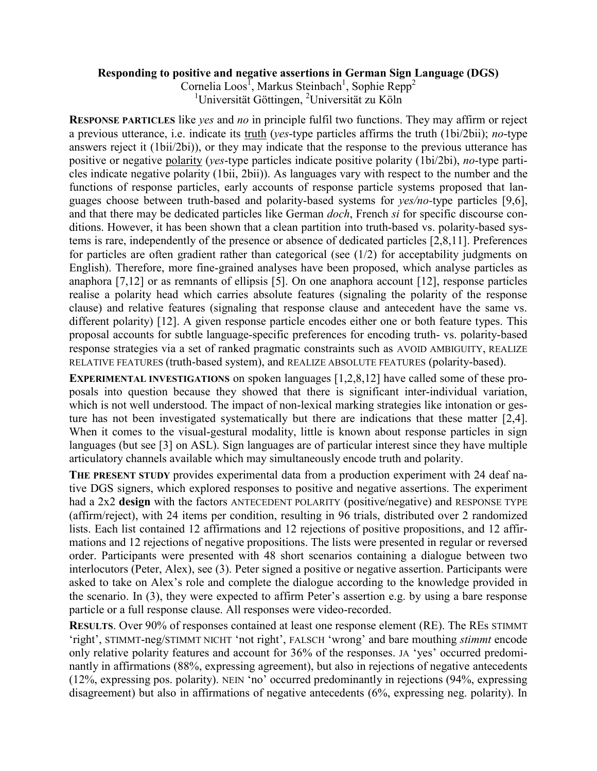## **Responding to positive and negative assertions in German Sign Language (DGS)**

Cornelia Loos<sup>1</sup>, Markus Steinbach<sup>1</sup>, Sophie Repp<sup>2</sup> <sup>1</sup>Universität Göttingen, <sup>2</sup>Universität zu Köln

**RESPONSE PARTICLES** like *yes* and *no* in principle fulfil two functions. They may affirm or reject a previous utterance, i.e. indicate its truth (*yes*-type particles affirms the truth (1bi/2bii); *no*-type answers reject it (1bii/2bi)), or they may indicate that the response to the previous utterance has positive or negative polarity (*yes*-type particles indicate positive polarity (1bi/2bi), *no*-type particles indicate negative polarity (1bii, 2bii)). As languages vary with respect to the number and the functions of response particles, early accounts of response particle systems proposed that languages choose between truth-based and polarity-based systems for *yes/no-*type particles [9,6], and that there may be dedicated particles like German *doch*, French *si* for specific discourse conditions. However, it has been shown that a clean partition into truth-based vs. polarity-based systems is rare, independently of the presence or absence of dedicated particles [2,8,11]. Preferences for particles are often gradient rather than categorical (see (1/2) for acceptability judgments on English). Therefore, more fine-grained analyses have been proposed, which analyse particles as anaphora [7,12] or as remnants of ellipsis [5]. On one anaphora account [12], response particles realise a polarity head which carries absolute features (signaling the polarity of the response clause) and relative features (signaling that response clause and antecedent have the same vs. different polarity) [12]. A given response particle encodes either one or both feature types. This proposal accounts for subtle language-specific preferences for encoding truth- vs. polarity-based response strategies via a set of ranked pragmatic constraints such as AVOID AMBIGUITY, REALIZE RELATIVE FEATURES (truth-based system), and REALIZE ABSOLUTE FEATURES (polarity-based).

**EXPERIMENTAL INVESTIGATIONS** on spoken languages [1,2,8,12] have called some of these proposals into question because they showed that there is significant inter-individual variation, which is not well understood. The impact of non-lexical marking strategies like intonation or gesture has not been investigated systematically but there are indications that these matter [2,4]. When it comes to the visual-gestural modality, little is known about response particles in sign languages (but see [3] on ASL). Sign languages are of particular interest since they have multiple articulatory channels available which may simultaneously encode truth and polarity.

**THE PRESENT STUDY** provides experimental data from a production experiment with 24 deaf native DGS signers, which explored responses to positive and negative assertions. The experiment had a 2x2 **design** with the factors ANTECEDENT POLARITY (positive/negative) and RESPONSE TYPE (affirm/reject), with 24 items per condition, resulting in 96 trials, distributed over 2 randomized lists. Each list contained 12 affirmations and 12 rejections of positive propositions, and 12 affirmations and 12 rejections of negative propositions. The lists were presented in regular or reversed order. Participants were presented with 48 short scenarios containing a dialogue between two interlocutors (Peter, Alex), see (3). Peter signed a positive or negative assertion. Participants were asked to take on Alex's role and complete the dialogue according to the knowledge provided in the scenario. In (3), they were expected to affirm Peter's assertion e.g. by using a bare response particle or a full response clause. All responses were video-recorded.

**RESULTS**. Over 90% of responses contained at least one response element (RE). The REs STIMMT 'right', STIMMT-neg/STIMMT NICHT 'not right', FALSCH 'wrong' and bare mouthing *stimmt* encode only relative polarity features and account for 36% of the responses. JA 'yes' occurred predominantly in affirmations (88%, expressing agreement), but also in rejections of negative antecedents (12%, expressing pos. polarity). NEIN 'no' occurred predominantly in rejections (94%, expressing disagreement) but also in affirmations of negative antecedents (6%, expressing neg. polarity). In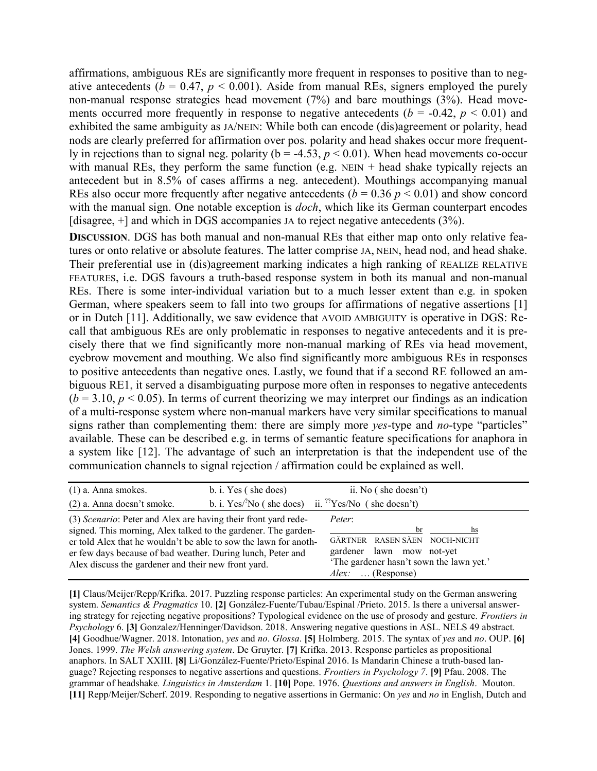affirmations, ambiguous REs are significantly more frequent in responses to positive than to negative antecedents ( $b = 0.47$ ,  $p \le 0.001$ ). Aside from manual REs, signers employed the purely non-manual response strategies head movement (7%) and bare mouthings (3%). Head movements occurred more frequently in response to negative antecedents ( $b = -0.42$ ,  $p < 0.01$ ) and exhibited the same ambiguity as JA/NEIN: While both can encode (dis)agreement or polarity, head nods are clearly preferred for affirmation over pos. polarity and head shakes occur more frequently in rejections than to signal neg. polarity ( $b = -4.53$ ,  $p < 0.01$ ). When head movements co-occur with manual REs, they perform the same function (e.g.  $NEN + head$  shake typically rejects an antecedent but in 8.5% of cases affirms a neg. antecedent). Mouthings accompanying manual REs also occur more frequently after negative antecedents  $(b = 0.36 \, p \le 0.01)$  and show concord with the manual sign. One notable exception is *doch*, which like its German counterpart encodes [disagree, +] and which in DGS accompanies JA to reject negative antecedents (3%).

**DISCUSSION**. DGS has both manual and non-manual REs that either map onto only relative features or onto relative or absolute features. The latter comprise JA, NEIN, head nod, and head shake. Their preferential use in (dis)agreement marking indicates a high ranking of REALIZE RELATIVE FEATURES, i.e. DGS favours a truth-based response system in both its manual and non-manual REs. There is some inter-individual variation but to a much lesser extent than e.g. in spoken German, where speakers seem to fall into two groups for affirmations of negative assertions [1] or in Dutch [11]. Additionally, we saw evidence that AVOID AMBIGUITY is operative in DGS: Recall that ambiguous REs are only problematic in responses to negative antecedents and it is precisely there that we find significantly more non-manual marking of REs via head movement, eyebrow movement and mouthing. We also find significantly more ambiguous REs in responses to positive antecedents than negative ones. Lastly, we found that if a second RE followed an ambiguous RE1, it served a disambiguating purpose more often in responses to negative antecedents  $(b = 3.10, p < 0.05)$ . In terms of current theorizing we may interpret our findings as an indication of a multi-response system where non-manual markers have very similar specifications to manual signs rather than complementing them: there are simply more *yes*-type and *no*-type "particles" available. These can be described e.g. in terms of semantic feature specifications for anaphora in a system like [12]. The advantage of such an interpretation is that the independent use of the communication channels to signal rejection / affirmation could be explained as well.

| $(1)$ a. Anna smokes.                                                                                                                                                                                                                                                                                                      | b. i. Yes (she does)                                                         | ii. No (she doesn't)                                                                                                                                         |  |
|----------------------------------------------------------------------------------------------------------------------------------------------------------------------------------------------------------------------------------------------------------------------------------------------------------------------------|------------------------------------------------------------------------------|--------------------------------------------------------------------------------------------------------------------------------------------------------------|--|
| (2) a. Anna doesn't smoke.                                                                                                                                                                                                                                                                                                 | b. i. Yes/ $\mathrm{No}$ (she does) ii. $\mathrm{^{22}Yes/No}$ (she doesn't) |                                                                                                                                                              |  |
| (3) Scenario: Peter and Alex are having their front yard rede-<br>signed. This morning, Alex talked to the gardener. The garden-<br>er told Alex that he wouldn't be able to sow the lawn for anoth-<br>er few days because of bad weather. During lunch, Peter and<br>Alex discuss the gardener and their new front yard. |                                                                              | Peter:<br>hs<br>br<br>GÄRTNER RASEN SÄEN NOCH-NICHT<br>gardener lawn mow not-yet<br>'The gardener hasn't sown the lawn yet.'<br>$\ldots$ (Response)<br>Alex: |  |

**[1]** Claus/Meijer/Repp/Krifka. 2017. Puzzling response particles: An experimental study on the German answering system. *Semantics & Pragmatics* 10. **[2]** González-Fuente/Tubau/Espinal /Prieto. 2015. Is there a universal answering strategy for rejecting negative propositions? Typological evidence on the use of prosody and gesture. *Frontiers in Psychology* 6. **[3]** Gonzalez/Henninger/Davidson. 2018. Answering negative questions in ASL. NELS 49 abstract. **[4]** Goodhue/Wagner. 2018. Intonation, *yes* and *no*. *Glossa*. **[5]** Holmberg. 2015. The syntax of *yes* and *no*. OUP. **[6]** Jones. 1999. *The Welsh answering system*. De Gruyter. **[7]** Krifka. 2013. Response particles as propositional anaphors. In SALT XXIII. **[8]** Li/González-Fuente/Prieto/Espinal 2016. Is Mandarin Chinese a truth-based language? Rejecting responses to negative assertions and questions. *Frontiers in Psychology 7*. **[9]** Pfau. 2008. The grammar of headshake*. Linguistics in Amsterdam* 1. **[10]** Pope. 1976. *Questions and answers in English*. Mouton. **[11]** Repp/Meijer/Scherf. 2019. Responding to negative assertions in Germanic: On *yes* and *no* in English, Dutch and